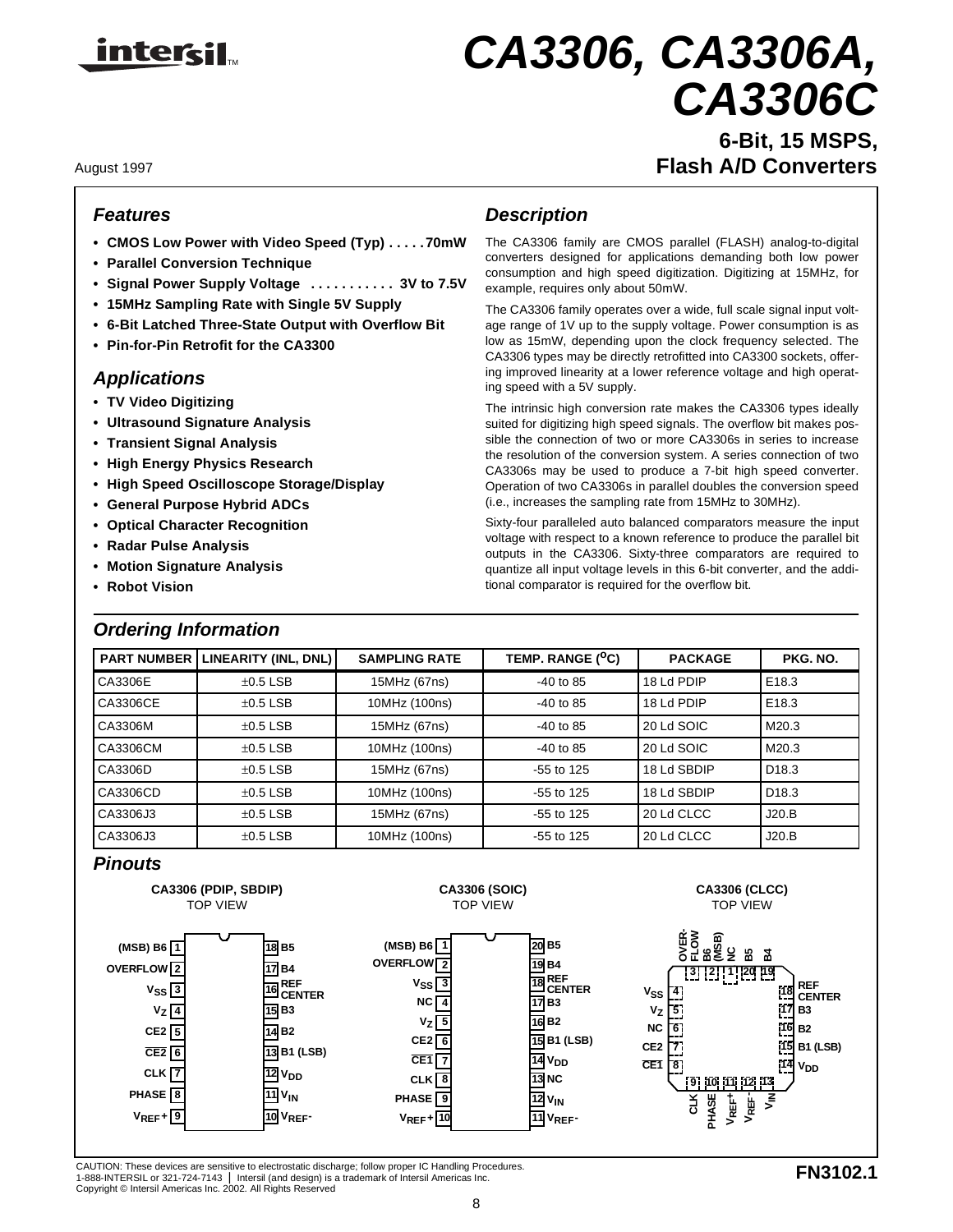

# TM *CA3306, CA3306A, CA3306C*

**6-Bit, 15 MSPS,** August 1997 **Flash A/D Converters**

#### *Features*

- **CMOS Low Power with Video Speed (Typ) . . . . .70mW**
- **Parallel Conversion Technique**
- **Signal Power Supply Voltage . . . . . . . . . . . 3V to 7.5V**
- **15MHz Sampling Rate with Single 5V Supply**
- **6-Bit Latched Three-State Output with Overflow Bit**
- **Pin-for-Pin Retrofit for the CA3300**

#### *Applications*

- **TV Video Digitizing**
- **Ultrasound Signature Analysis**
- **Transient Signal Analysis**
- **High Energy Physics Research**
- **High Speed Oscilloscope Storage/Display**
- **General Purpose Hybrid ADCs**
- **Optical Character Recognition**
- **Radar Pulse Analysis**
- **Motion Signature Analysis**
- **Robot Vision**

### *Ordering Information*

### *Description*

The CA3306 family are CMOS parallel (FLASH) analog-to-digital converters designed for applications demanding both low power consumption and high speed digitization. Digitizing at 15MHz, for example, requires only about 50mW.

The CA3306 family operates over a wide, full scale signal input voltage range of 1V up to the supply voltage. Power consumption is as low as 15mW, depending upon the clock frequency selected. The CA3306 types may be directly retrofitted into CA3300 sockets, offering improved linearity at a lower reference voltage and high operating speed with a 5V supply.

The intrinsic high conversion rate makes the CA3306 types ideally suited for digitizing high speed signals. The overflow bit makes possible the connection of two or more CA3306s in series to increase the resolution of the conversion system. A series connection of two CA3306s may be used to produce a 7-bit high speed converter. Operation of two CA3306s in parallel doubles the conversion speed (i.e., increases the sampling rate from 15MHz to 30MHz).

Sixty-four paralleled auto balanced comparators measure the input voltage with respect to a known reference to produce the parallel bit outputs in the CA3306. Sixty-three comparators are required to quantize all input voltage levels in this 6-bit converter, and the additional comparator is required for the overflow bit.

| <b>PART NUMBER</b> | LINEARITY (INL, DNL) | <b>SAMPLING RATE</b> |              | <b>PACKAGE</b> | PKG. NO.          |
|--------------------|----------------------|----------------------|--------------|----------------|-------------------|
| CA3306E            | $\pm 0.5$ LSB        | 15MHz (67ns)         | $-40$ to 85  | 18 Ld PDIP     | E <sub>18.3</sub> |
| CA3306CE           | $\pm 0.5$ LSB        | 10MHz (100ns)        | $-40$ to 85  | 18 Ld PDIP     | E <sub>18.3</sub> |
| CA3306M            | $\pm 0.5$ LSB        | 15MHz (67ns)         | $-40$ to 85  | 20 Ld SOIC     | M20.3             |
| CA3306CM           | $\pm 0.5$ LSB        | 10MHz (100ns)        | $-40$ to 85  | 20 Ld SOIC     | M20.3             |
| CA3306D            | $\pm 0.5$ LSB        | 15MHz (67ns)         | $-55$ to 125 | 18 Ld SBDIP    | D <sub>18.3</sub> |
| CA3306CD           | $\pm 0.5$ LSB        | 10MHz (100ns)        | $-55$ to 125 | 18 Ld SBDIP    | D <sub>18.3</sub> |
| CA3306J3           | $\pm 0.5$ LSB        | 15MHz (67ns)         | $-55$ to 125 | 20 Ld CLCC     | J20.B             |
| CA3306J3           | $\pm 0.5$ LSB        | 10MHz (100ns)        | $-55$ to 125 | 20 Ld CLCC     | J20.B             |

### *Pinouts*



CAUTION: These devices are sensitive to electrostatic discharge; follow proper IC Handling Procedures. 1-888-INTERSIL or 321-724-7143 | Intersil (and design) is a trademark of Intersil Americas Inc. Copyright © Intersil Americas Inc. 2002. All Rights Reserved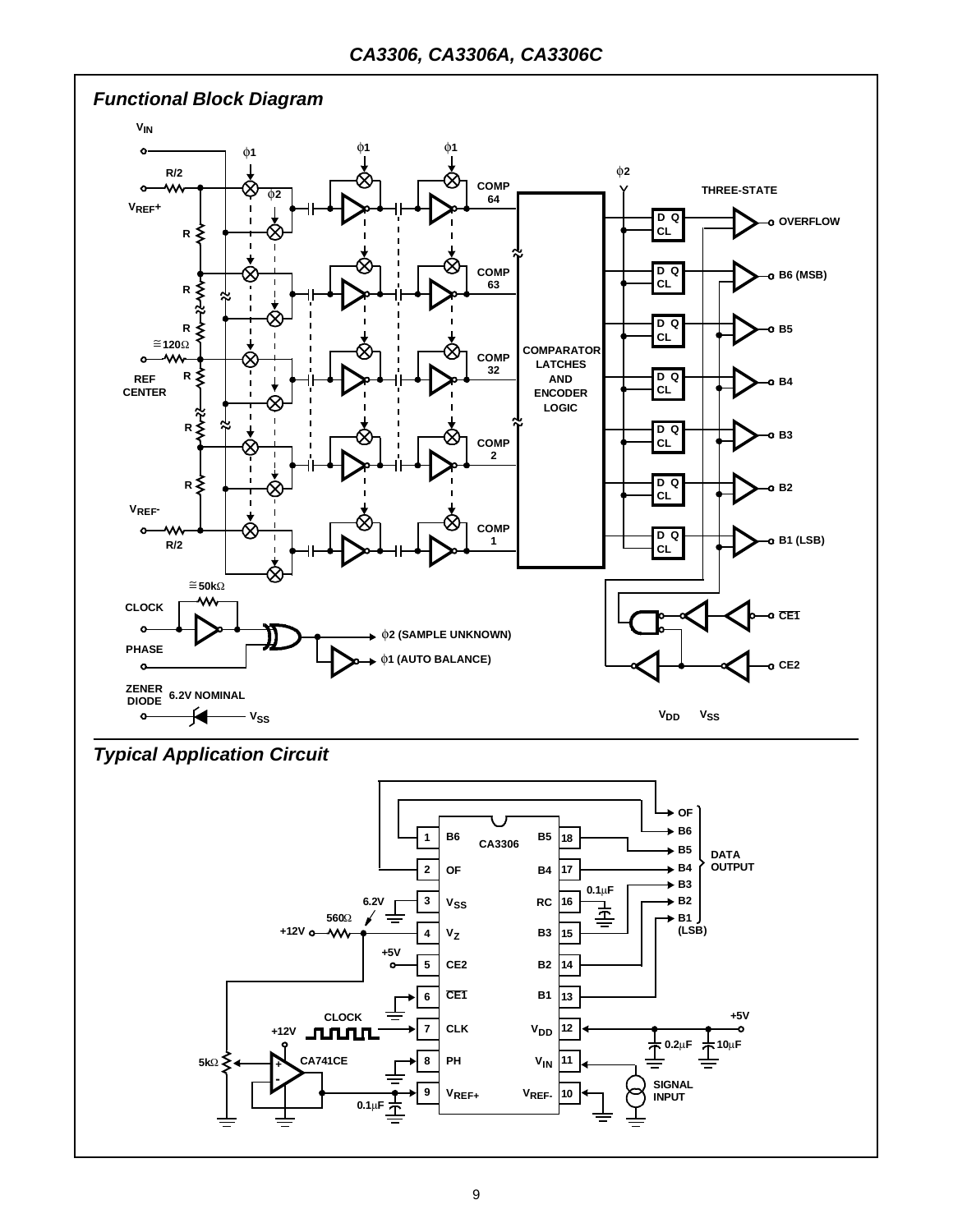

*Typical Application Circuit*

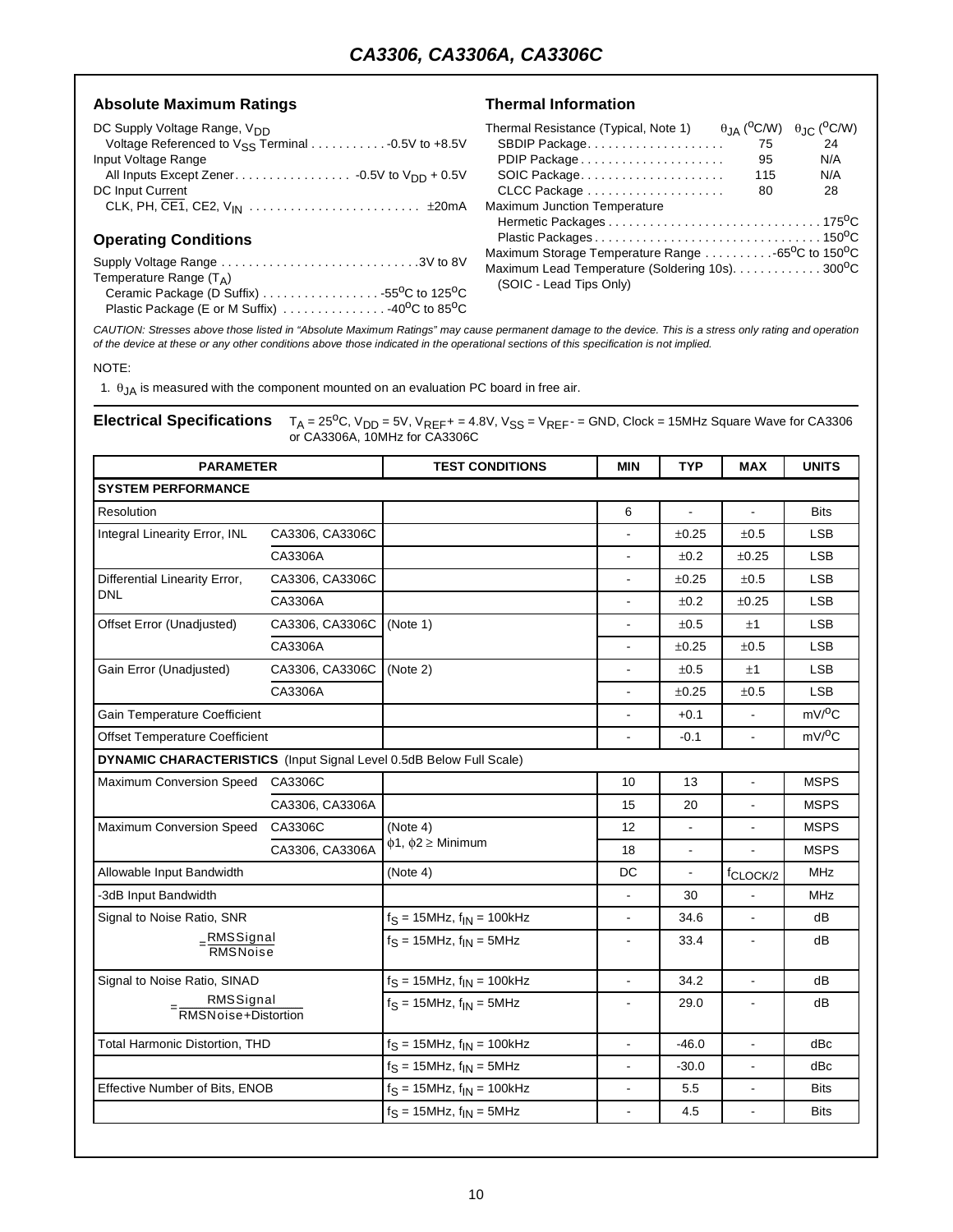#### Absolute Maximum Ratings **Thermal Information**

| DC Supply Voltage Range, V <sub>DD</sub> |
|------------------------------------------|
|                                          |
| Input Voltage Range                      |
|                                          |
| DC Input Current                         |
|                                          |
|                                          |

#### **Operating Conditions**

| Supply Voltage Range 3V to 8V                |  |
|----------------------------------------------|--|
| Temperature Range $(T_A)$                    |  |
| Ceramic Package (D Suffix) 55°C to 125°C     |  |
| Plastic Package (E or M Suffix) 40°C to 85°C |  |

| Thermal Resistance (Typical, Note 1)                                      | $\theta$ JA ( <sup>O</sup> C/W) $\theta$ JC ( <sup>O</sup> C/W) |     |
|---------------------------------------------------------------------------|-----------------------------------------------------------------|-----|
| SBDIP Package                                                             | 75                                                              | 24  |
| PDIP Package                                                              | 95                                                              | N/A |
| SOIC Package                                                              | 115                                                             | N/A |
|                                                                           | 80                                                              | 28  |
| Maximum Junction Temperature                                              |                                                                 |     |
|                                                                           |                                                                 |     |
|                                                                           |                                                                 |     |
| Maximum Storage Temperature Range 65 <sup>o</sup> C to 150 <sup>o</sup> C |                                                                 |     |
| Maximum Lead Temperature (Soldering 10s). 300 <sup>o</sup> C              |                                                                 |     |
| (SOIC - Lead Tips Only)                                                   |                                                                 |     |

*CAUTION: Stresses above those listed in "Absolute Maximum Ratings" may cause permanent damage to the device. This is a stress only rating and operation of the device at these or any other conditions above those indicated in the operational sections of this specification is not implied.*

NOTE:

1.  $\theta_{JA}$  is measured with the component mounted on an evaluation PC board in free air.

**Electrical Specifications**  $T_A = 25^{\circ}$ C, V<sub>DD</sub> = 5V, V<sub>REF</sub>+ = 4.8V, V<sub>SS</sub> = V<sub>REF</sub>- = GND, Clock = 15MHz Square Wave for CA3306 or CA3306A, 10MHz for CA3306C

| <b>PARAMETER</b>                                                    |                 | <b>MIN</b><br><b>TEST CONDITIONS</b> |                | <b>TYP</b>               | <b>MAX</b>               | <b>UNITS</b> |  |
|---------------------------------------------------------------------|-----------------|--------------------------------------|----------------|--------------------------|--------------------------|--------------|--|
| <b>SYSTEM PERFORMANCE</b>                                           |                 |                                      |                |                          |                          |              |  |
| Resolution                                                          |                 |                                      | 6              | $\overline{\phantom{a}}$ | $\overline{\phantom{a}}$ | <b>Bits</b>  |  |
| Integral Linearity Error, INL                                       | CA3306, CA3306C |                                      |                | $\pm 0.25$               | ±0.5                     | <b>LSB</b>   |  |
|                                                                     | CA3306A         |                                      | $\blacksquare$ | $\pm 0.2$                | ±0.25                    | <b>LSB</b>   |  |
| Differential Linearity Error,                                       | CA3306, CA3306C |                                      |                | ±0.25                    | ±0.5                     | <b>LSB</b>   |  |
| <b>DNL</b>                                                          | CA3306A         |                                      |                | ±0.2                     | ±0.25                    | <b>LSB</b>   |  |
| Offset Error (Unadjusted)                                           | CA3306, CA3306C | (Note 1)                             |                | ±0.5                     | ±1                       | <b>LSB</b>   |  |
|                                                                     | CA3306A         |                                      |                | ±0.25                    | ±0.5                     | <b>LSB</b>   |  |
| Gain Error (Unadjusted)                                             | CA3306, CA3306C | (Note 2)                             |                | ±0.5                     | ±1                       | <b>LSB</b>   |  |
|                                                                     | CA3306A         |                                      |                | ±0.25                    | ±0.5                     | <b>LSB</b>   |  |
| Gain Temperature Coefficient                                        |                 |                                      | $\blacksquare$ | $+0.1$                   | $\overline{a}$           | $mV/{}^{0}C$ |  |
| Offset Temperature Coefficient                                      |                 |                                      | $\overline{a}$ | $-0.1$                   | ÷,                       | $mV/{}^{0}C$ |  |
| DYNAMIC CHARACTERISTICS (Input Signal Level 0.5dB Below Full Scale) |                 |                                      |                |                          |                          |              |  |
| Maximum Conversion Speed                                            | CA3306C         |                                      | 10             | 13                       | $\blacksquare$           | <b>MSPS</b>  |  |
|                                                                     | CA3306, CA3306A |                                      | 15             | 20                       | $\blacksquare$           | <b>MSPS</b>  |  |
| Maximum Conversion Speed                                            | CA3306C         | (Note 4)                             | 12             |                          |                          | <b>MSPS</b>  |  |
|                                                                     | CA3306, CA3306A | $\phi$ 1, $\phi$ 2 $\geq$ Minimum    | 18             | $\blacksquare$           | $\blacksquare$           | <b>MSPS</b>  |  |
| Allowable Input Bandwidth                                           |                 | (Note 4)                             | DC             |                          | f <sub>CLOCK/2</sub>     | <b>MHz</b>   |  |
| -3dB Input Bandwidth                                                |                 |                                      | $\blacksquare$ | 30                       |                          | <b>MHz</b>   |  |
| Signal to Noise Ratio, SNR                                          |                 | $f_S = 15 MHz$ , $f_{IN} = 100kHz$   |                | 34.6                     |                          | dB           |  |
| $=\frac{RMSSignal}{RMSNoise}$                                       |                 | $f_S = 15 MHz$ , $f_{IN} = 5 MHz$    | $\blacksquare$ | 33.4                     | $\blacksquare$           | dB           |  |
| Signal to Noise Ratio, SINAD                                        |                 | $f_S = 15$ MHz, $f_{IN} = 100$ kHz   | $\overline{a}$ | 34.2                     | $\overline{\phantom{a}}$ | dВ           |  |
| RMSSignal<br>= RMSNoise+Distortion                                  |                 | $f_S = 15 MHz$ , $f_{IN} = 5 MHz$    | $\blacksquare$ | 29.0                     | $\blacksquare$           | dB           |  |
| <b>Total Harmonic Distortion, THD</b>                               |                 | $f_S = 15$ MHz, $f_{IN} = 100$ kHz   |                | $-46.0$                  |                          | dBc          |  |
|                                                                     |                 | $fS = 15 MHz$ , $fIN = 5 MHz$        | $\blacksquare$ | $-30.0$                  | $\blacksquare$           | dBc          |  |
| Effective Number of Bits, ENOB                                      |                 | $f_S = 15$ MHz, $f_{IN} = 100$ kHz   | $\blacksquare$ | 5.5                      | $\blacksquare$           | <b>Bits</b>  |  |
|                                                                     |                 | $f_S = 15$ MHz, $f_{IN} = 5$ MHz     | $\blacksquare$ | 4.5                      | ٠                        | <b>Bits</b>  |  |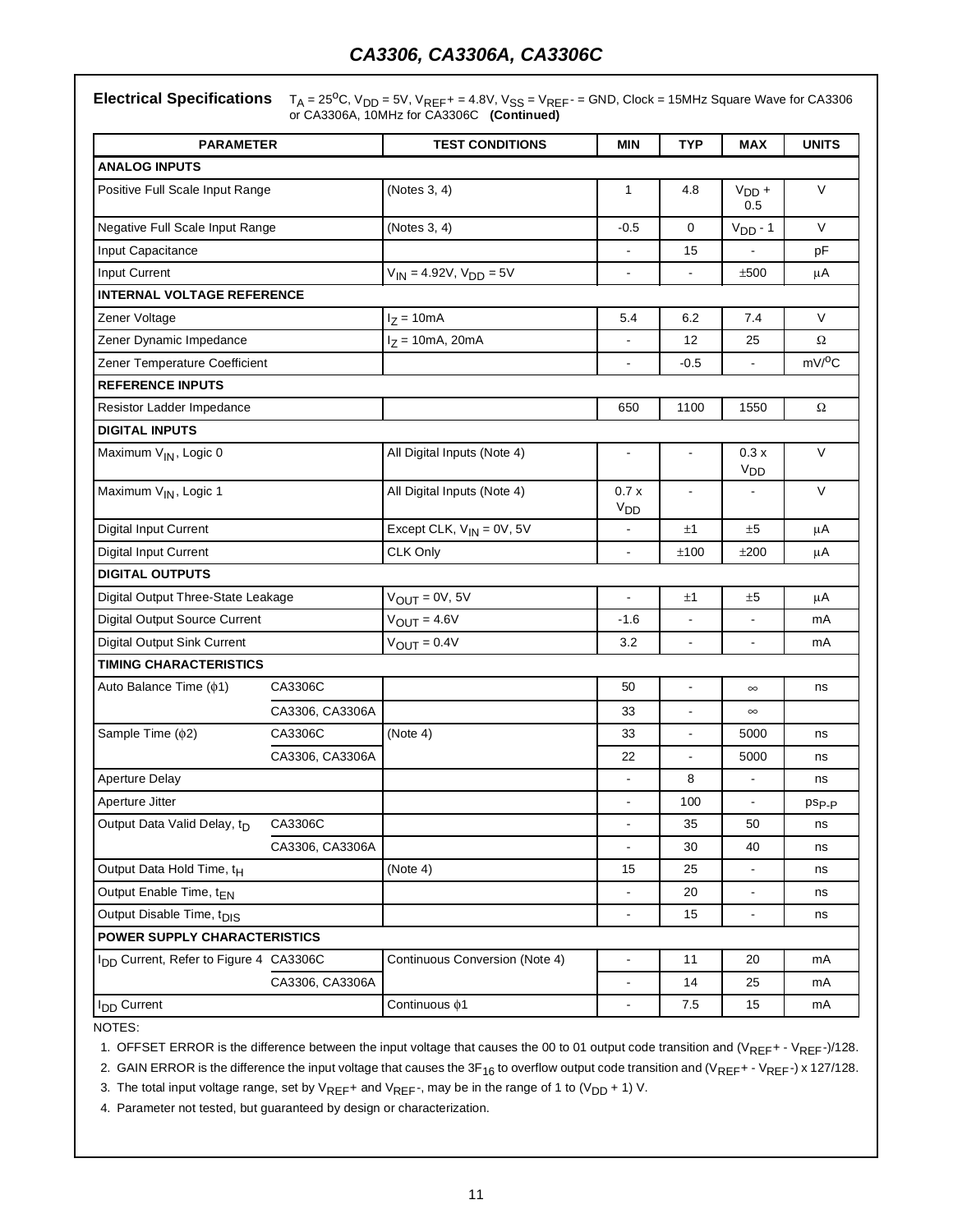**Electrical Specifications**  $T_A = 25^{\circ}$ C, V<sub>DD</sub> = 5V, V<sub>REF</sub>+ = 4.8V, V<sub>SS</sub> = V<sub>REF</sub>- = GND, Clock = 15MHz Square Wave for CA3306 or CA3306A, 10MHz for CA3306C **(Continued)**

| <b>PARAMETER</b>                        |                                                    | <b>TEST CONDITIONS</b>               | <b>MIN</b>               | <b>TYP</b>               | MAX                      | <b>UNITS</b>      |  |
|-----------------------------------------|----------------------------------------------------|--------------------------------------|--------------------------|--------------------------|--------------------------|-------------------|--|
| <b>ANALOG INPUTS</b>                    |                                                    |                                      |                          |                          |                          |                   |  |
| Positive Full Scale Input Range         |                                                    | (Notes 3, 4)                         | $\mathbf{1}$             | 4.8                      | $VDD +$<br>0.5           | $\vee$            |  |
| Negative Full Scale Input Range         |                                                    | (Notes 3, 4)                         | $-0.5$                   | $\mathbf 0$              | $VDD - 1$                | $\vee$            |  |
| Input Capacitance                       |                                                    |                                      |                          | 15                       |                          | pF                |  |
| <b>Input Current</b>                    |                                                    | $V_{IN} = 4.92V, V_{DD} = 5V$        | $\blacksquare$           | ÷,                       | ±500                     | μA                |  |
| <b>INTERNAL VOLTAGE REFERENCE</b>       |                                                    |                                      |                          |                          |                          |                   |  |
| Zener Voltage                           |                                                    | $I_Z = 10mA$                         | 5.4                      | 6.2                      | 7.4                      | V                 |  |
| Zener Dynamic Impedance                 |                                                    | $I_Z = 10mA, 20mA$                   |                          | 12                       | 25                       | Ω                 |  |
| Zener Temperature Coefficient           |                                                    |                                      |                          | -0.5                     | $\overline{\phantom{0}}$ | $mV/{}^{0}C$      |  |
| <b>REFERENCE INPUTS</b>                 |                                                    |                                      |                          |                          |                          |                   |  |
| Resistor Ladder Impedance               |                                                    |                                      | 650                      | 1100                     | 1550                     | $\Omega$          |  |
| <b>DIGITAL INPUTS</b>                   |                                                    |                                      |                          |                          |                          |                   |  |
| Maximum V <sub>IN</sub> , Logic 0       |                                                    | All Digital Inputs (Note 4)          |                          |                          | 0.3x<br>V <sub>DD</sub>  | $\vee$            |  |
| Maximum V <sub>IN</sub> , Logic 1       |                                                    | All Digital Inputs (Note 4)          | 0.7x<br>V <sub>DD</sub>  |                          |                          | $\vee$            |  |
| Digital Input Current                   |                                                    | Except CLK, $V_{IN} = 0V$ , 5V<br>±1 |                          |                          |                          | μA                |  |
| Digital Input Current                   |                                                    | CLK Only                             | ±100                     | ±200                     | μA                       |                   |  |
| <b>DIGITAL OUTPUTS</b>                  |                                                    |                                      |                          |                          |                          |                   |  |
| Digital Output Three-State Leakage      |                                                    | $V_{OUT} = 0V, 5V$                   | $\blacksquare$           | ±1                       | ±5                       | μA                |  |
| Digital Output Source Current           |                                                    | $V_{OUT} = 4.6V$                     | $-1.6$                   |                          |                          | mA                |  |
| Digital Output Sink Current             |                                                    | $V_{OUT} = 0.4V$                     | 3.2                      | $\overline{\phantom{0}}$ | $\overline{\phantom{0}}$ | mA                |  |
| <b>TIMING CHARACTERISTICS</b>           |                                                    |                                      |                          |                          |                          |                   |  |
| Auto Balance Time ( $\phi$ 1)           | CA3306C                                            |                                      | 50                       |                          | $\infty$                 | ns                |  |
|                                         | CA3306, CA3306A                                    |                                      | 33                       | $\overline{a}$           | $\infty$                 |                   |  |
| Sample Time ( $\phi$ 2)                 | CA3306C                                            | (Note 4)                             | 33                       |                          | 5000                     | ns                |  |
|                                         | CA3306, CA3306A                                    |                                      | 22                       | $\blacksquare$           | 5000                     | ns                |  |
| <b>Aperture Delay</b>                   |                                                    |                                      |                          | 8                        | L.                       | ns                |  |
| Aperture Jitter                         |                                                    |                                      | $\overline{a}$           | 100                      |                          | ps <sub>p-p</sub> |  |
| Output Data Valid Delay, t <sub>D</sub> | CA3306C                                            |                                      |                          | 35                       | 50                       | ns                |  |
| CA3306, CA3306A                         |                                                    |                                      |                          | 30                       | 40                       | ns                |  |
| Output Data Hold Time, t <sub>H</sub>   |                                                    | (Note 4)                             | 15                       | 25                       | ÷,                       | ns                |  |
| Output Enable Time, tEN                 |                                                    |                                      |                          | 20                       |                          | ns                |  |
| Output Disable Time, t <sub>DIS</sub>   |                                                    |                                      | $\frac{1}{2}$            | 15                       | $\overline{\phantom{0}}$ | ns                |  |
| POWER SUPPLY CHARACTERISTICS            |                                                    |                                      |                          |                          |                          |                   |  |
|                                         | I <sub>DD</sub> Current, Refer to Figure 4 CA3306C |                                      | $\blacksquare$           | 11                       | 20                       | mA                |  |
|                                         | CA3306, CA3306A                                    |                                      | $\overline{\phantom{a}}$ | 14                       | 25                       | mA                |  |
| I <sub>DD</sub> Current                 |                                                    | Continuous $\phi$ 1                  |                          | 7.5                      | 15                       | mA                |  |

NOTES:

1. OFFSET ERROR is the difference between the input voltage that causes the 00 to 01 output code transition and (VREF+ - VREF-)/128.

2. GAIN ERROR is the difference the input voltage that causes the  $3F_{16}$  to overflow output code transition and (VREF+ - VREF-) x 127/128.

3. The total input voltage range, set by  $V_{REF}$  and  $V_{REF}$ , may be in the range of 1 to ( $V_{DD}$  + 1) V.

4. Parameter not tested, but guaranteed by design or characterization.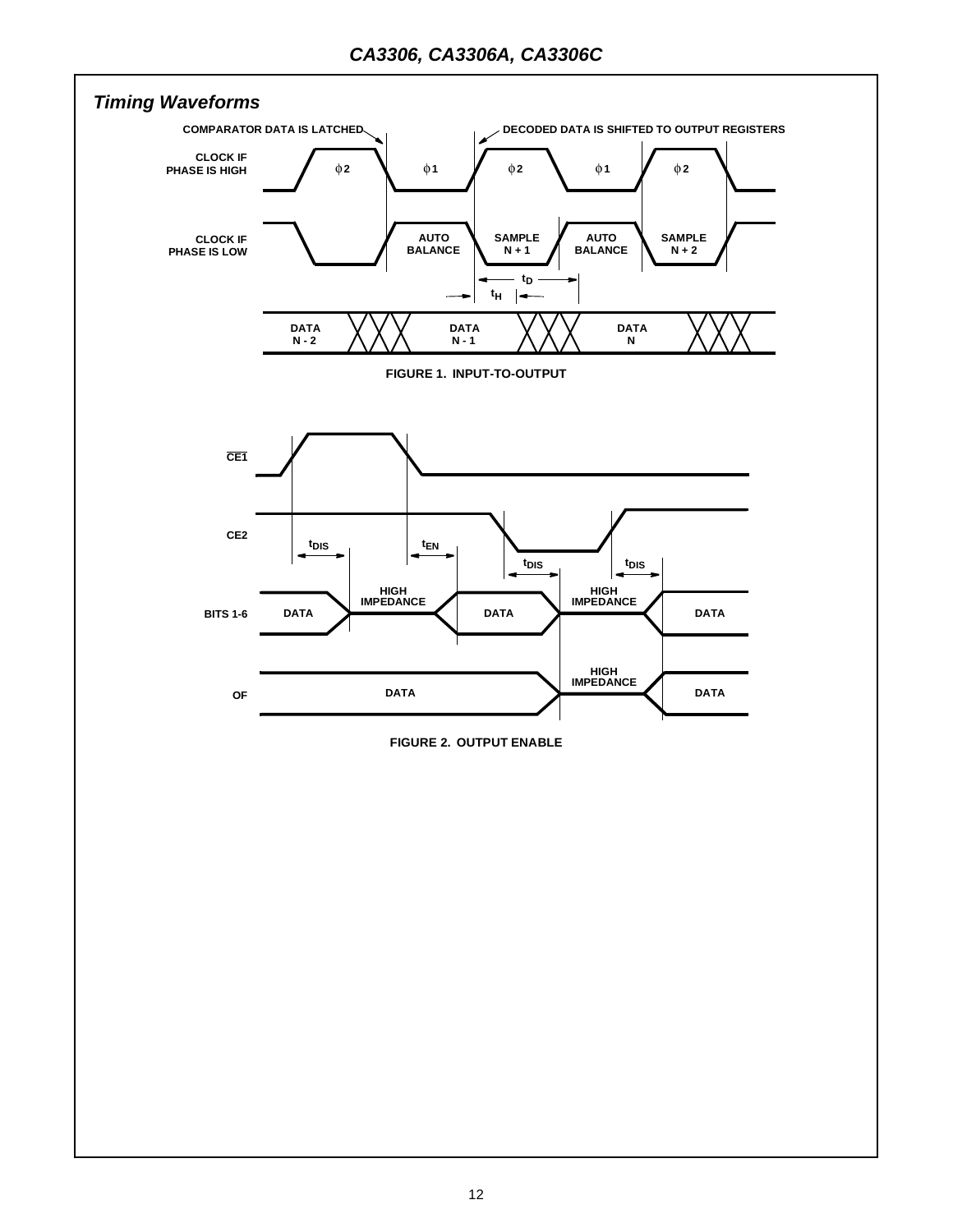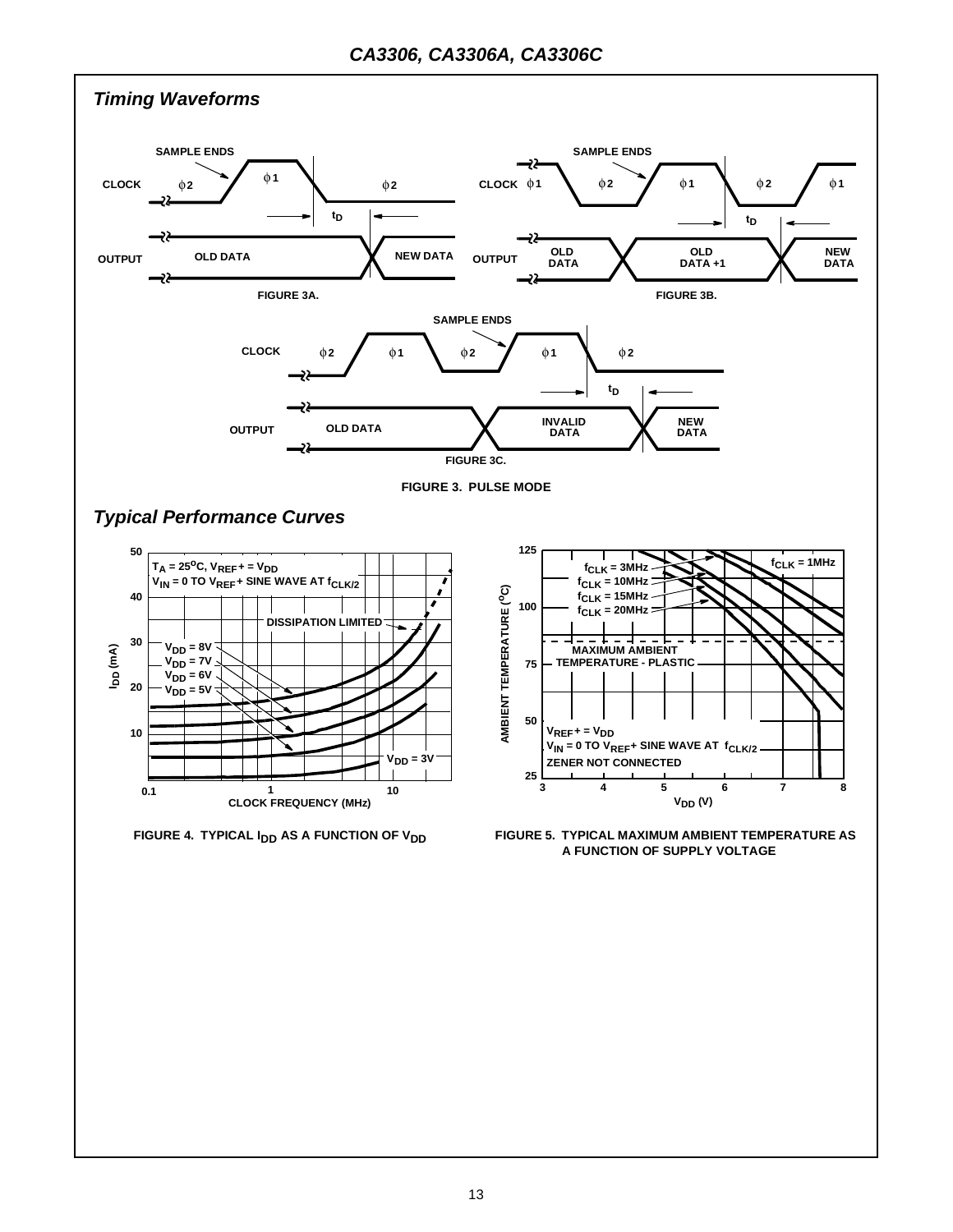

**A FUNCTION OF SUPPLY VOLTAGE**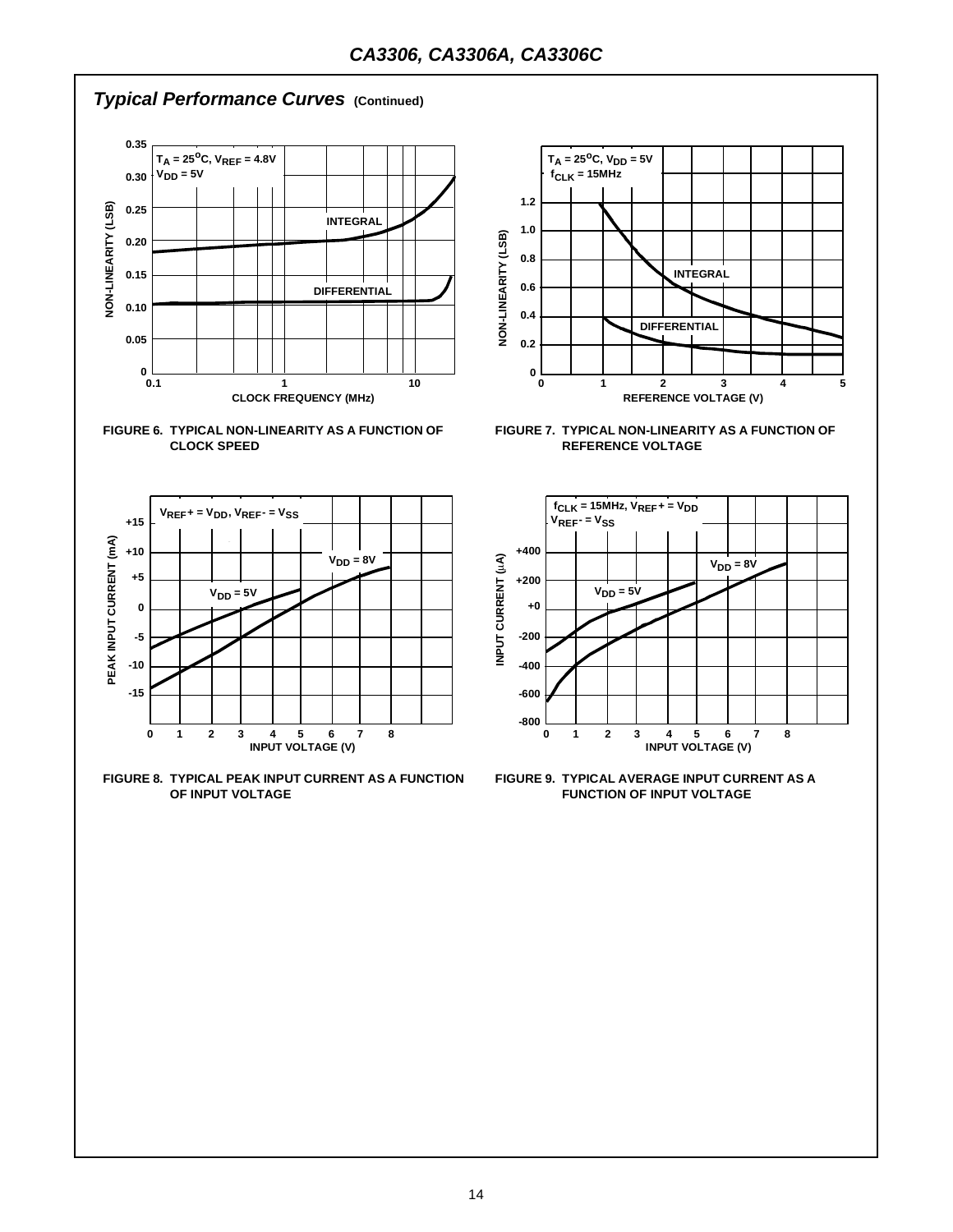# *Typical Performance Curves* **(Continued)**







**FIGURE 8. TYPICAL PEAK INPUT CURRENT AS A FUNCTION OF INPUT VOLTAGE**



**FIGURE 7. TYPICAL NON-LINEARITY AS A FUNCTION OF REFERENCE VOLTAGE**



**FIGURE 9. TYPICAL AVERAGE INPUT CURRENT AS A FUNCTION OF INPUT VOLTAGE**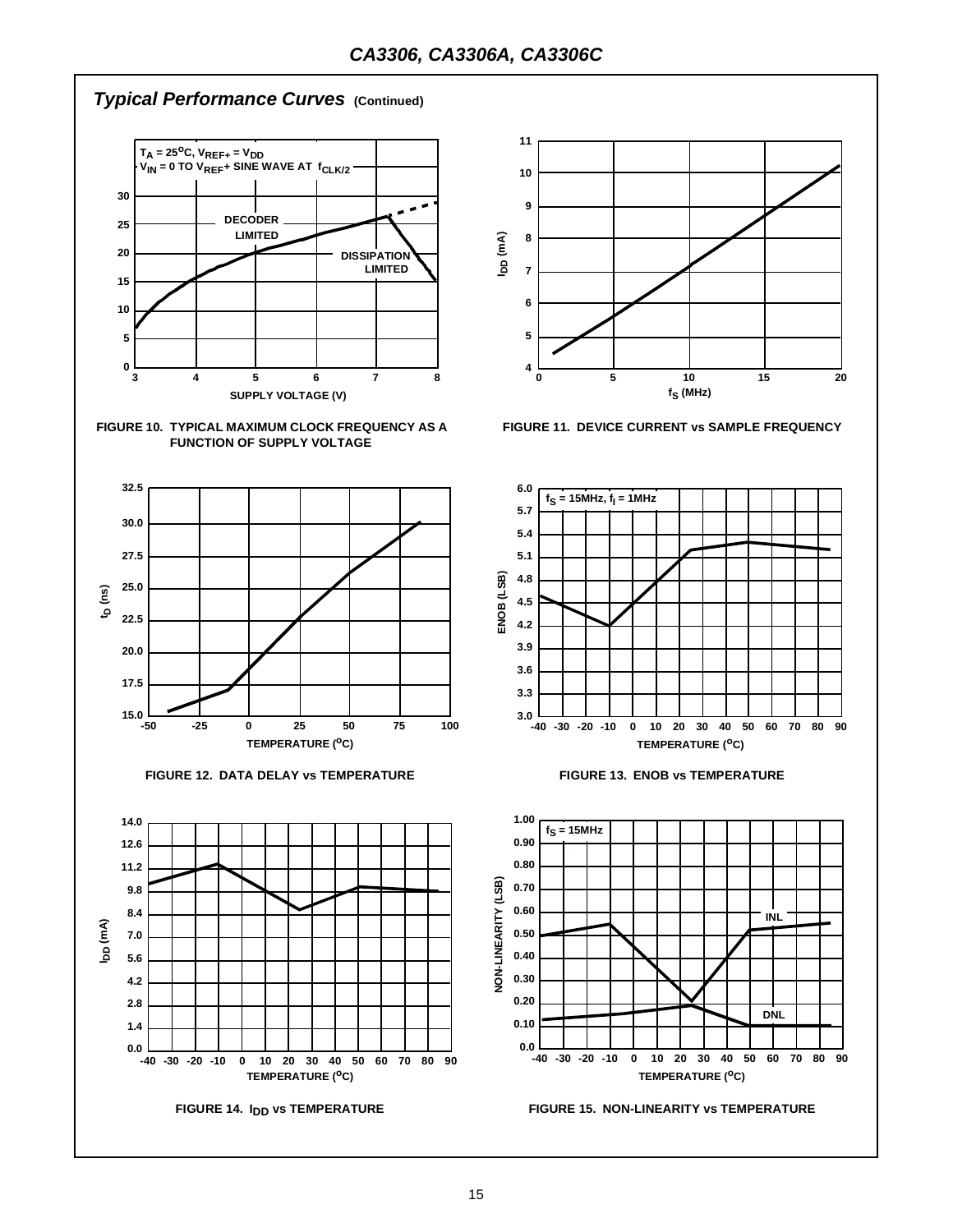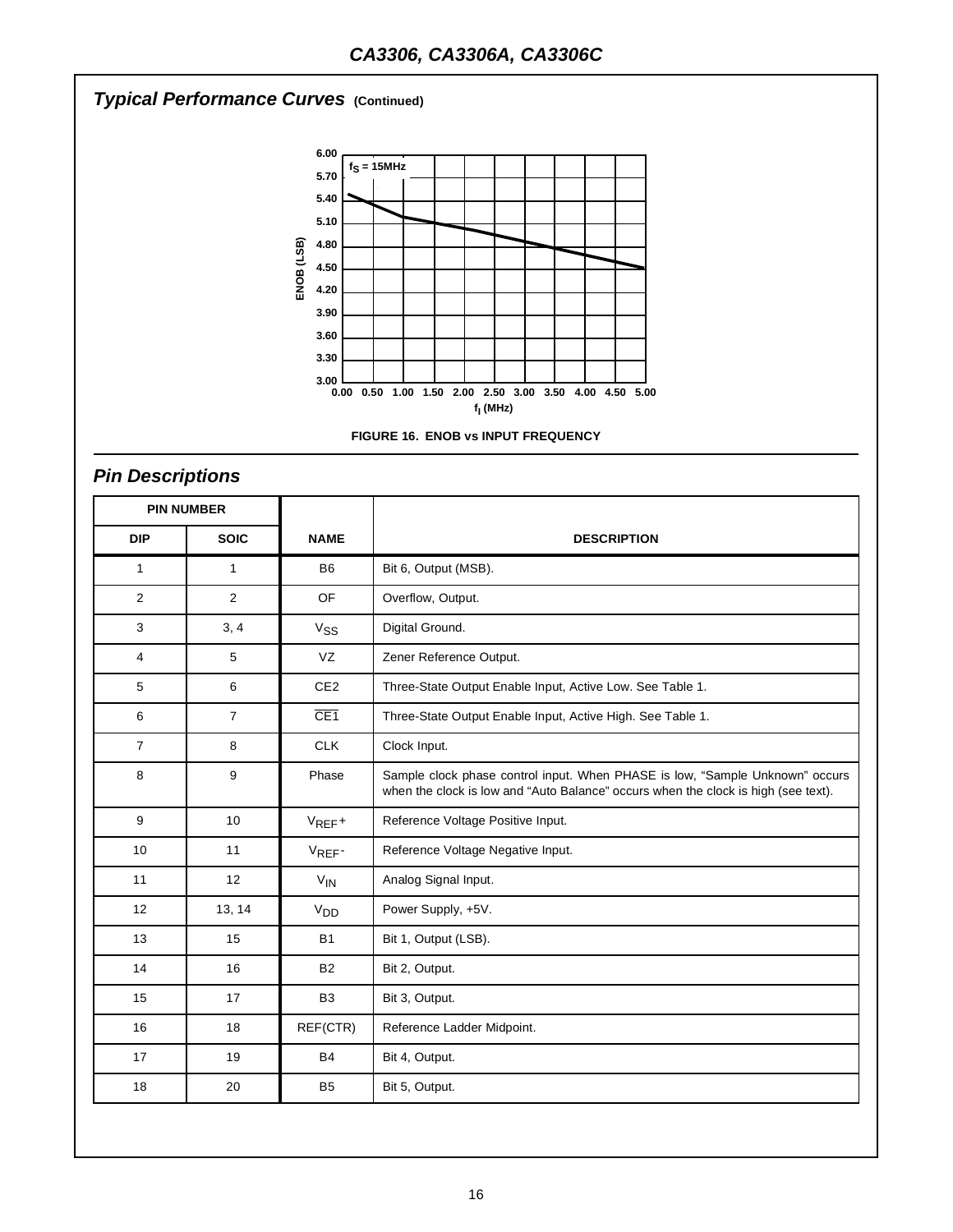# *Typical Performance Curves* **(Continued)**





# *Pin Descriptions*

|                           | <b>PIN NUMBER</b> |                 |                                                                                                                                                                    |
|---------------------------|-------------------|-----------------|--------------------------------------------------------------------------------------------------------------------------------------------------------------------|
| <b>DIP</b><br><b>SOIC</b> |                   | <b>NAME</b>     | <b>DESCRIPTION</b>                                                                                                                                                 |
| $\mathbf{1}$              | $\mathbf{1}$      | <b>B6</b>       | Bit 6, Output (MSB).                                                                                                                                               |
| $\overline{2}$            | $\overline{2}$    | <b>OF</b>       | Overflow, Output.                                                                                                                                                  |
| 3                         | 3, 4              | $V_{SS}$        | Digital Ground.                                                                                                                                                    |
| 4                         | 5                 | VZ              | Zener Reference Output.                                                                                                                                            |
| 5                         | 6                 | CE <sub>2</sub> | Three-State Output Enable Input, Active Low. See Table 1.                                                                                                          |
| 6                         | $\overline{7}$    | CE1             | Three-State Output Enable Input, Active High. See Table 1.                                                                                                         |
| $\overline{7}$            | 8                 | <b>CLK</b>      | Clock Input.                                                                                                                                                       |
| 8                         | 9                 | Phase           | Sample clock phase control input. When PHASE is low, "Sample Unknown" occurs<br>when the clock is low and "Auto Balance" occurs when the clock is high (see text). |
| 9                         | 10                | $V_{REF}+$      | Reference Voltage Positive Input.                                                                                                                                  |
| 10                        | 11                | VREF-           | Reference Voltage Negative Input.                                                                                                                                  |
| 11                        | 12                | $V_{IN}$        | Analog Signal Input.                                                                                                                                               |
| 12                        | 13, 14            | V <sub>DD</sub> | Power Supply, +5V.                                                                                                                                                 |
| 13                        | 15                | <b>B1</b>       | Bit 1, Output (LSB).                                                                                                                                               |
| 14                        | 16                | <b>B2</b>       | Bit 2, Output.                                                                                                                                                     |
| 15                        | 17                | B <sub>3</sub>  | Bit 3, Output.                                                                                                                                                     |
| 16                        | 18                | REF(CTR)        | Reference Ladder Midpoint.                                                                                                                                         |
| 17                        | 19                | <b>B4</b>       | Bit 4, Output.                                                                                                                                                     |
| 18                        | 20                | B <sub>5</sub>  | Bit 5, Output.                                                                                                                                                     |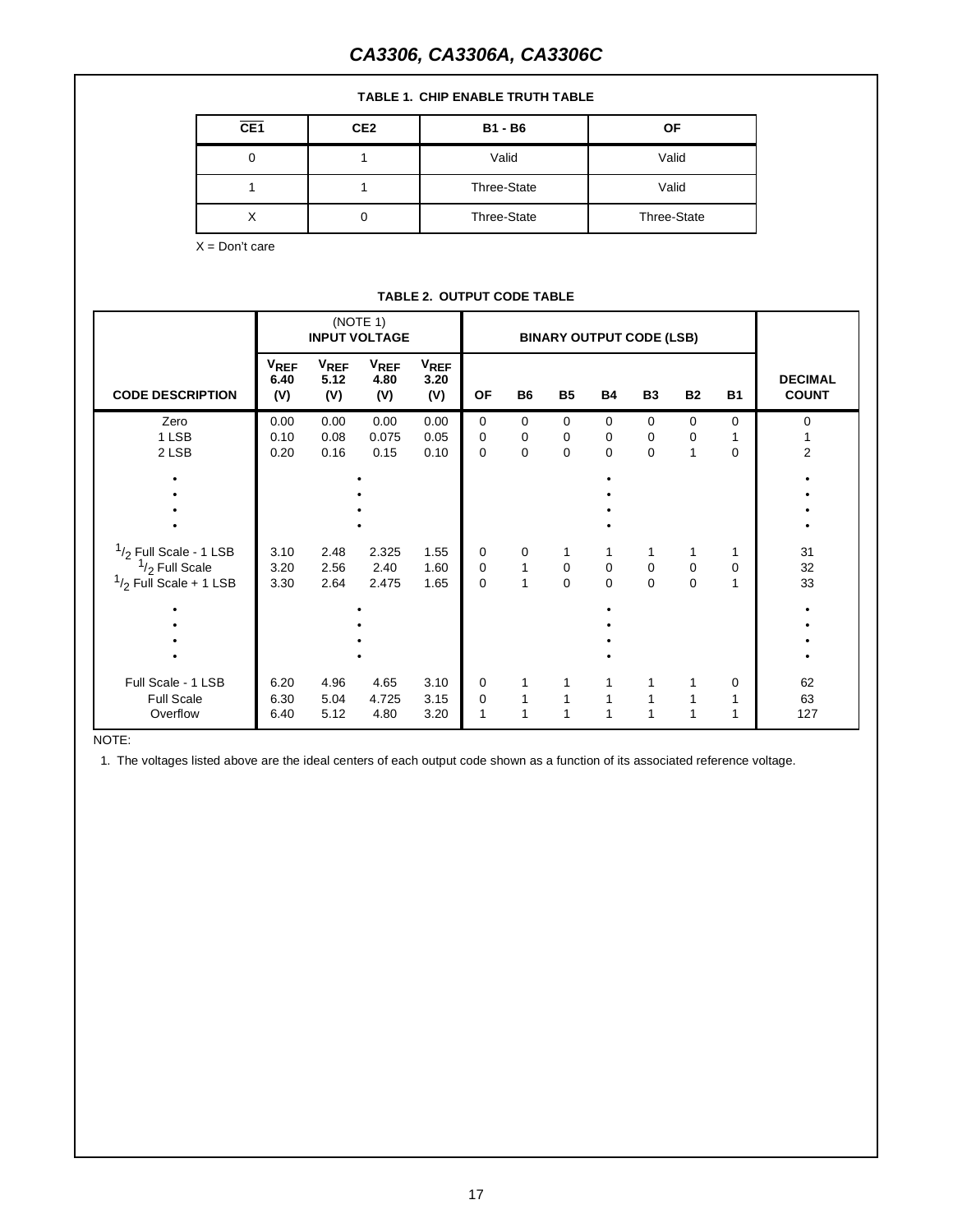# *CA3306, CA3306A, CA3306C*

| <b>TABLE 1. CHIP ENABLE TRUTH TABLE</b>      |                   |                                |                                  |                            |                          |                   |                                 |                  |                   |                   |                          |                     |
|----------------------------------------------|-------------------|--------------------------------|----------------------------------|----------------------------|--------------------------|-------------------|---------------------------------|------------------|-------------------|-------------------|--------------------------|---------------------|
|                                              | CE <sub>1</sub>   |                                | CE <sub>2</sub>                  |                            |                          | <b>B1 - B6</b>    |                                 | <b>OF</b>        |                   |                   |                          |                     |
| $\mathbf 0$                                  |                   | $\mathbf{1}$                   |                                  | Valid                      |                          | Valid             |                                 |                  |                   |                   |                          |                     |
| $\mathbf{1}$                                 |                   | $\mathbf{1}$                   |                                  | Three-State                |                          | Valid             |                                 |                  |                   |                   |                          |                     |
| X                                            |                   |                                | 0                                |                            | Three-State              |                   | Three-State                     |                  |                   |                   |                          |                     |
| $X = Don't care$                             |                   |                                |                                  |                            |                          |                   |                                 |                  |                   |                   |                          |                     |
|                                              |                   |                                |                                  |                            |                          |                   |                                 |                  |                   |                   |                          |                     |
|                                              |                   |                                |                                  | TABLE 2. OUTPUT CODE TABLE |                          |                   |                                 |                  |                   |                   |                          |                     |
|                                              |                   |                                | (NOTE 1)<br><b>INPUT VOLTAGE</b> |                            |                          |                   | <b>BINARY OUTPUT CODE (LSB)</b> |                  |                   |                   |                          |                     |
|                                              | $V_{REF}$<br>6.40 | <b>V<sub>REF</sub></b><br>5.12 | <b>VREF</b><br>4.80              | <b>VREF</b><br>3.20        |                          |                   |                                 |                  |                   |                   |                          | <b>DECIMAL</b>      |
| <b>CODE DESCRIPTION</b>                      | (V)               | (V)                            | (V)                              | (V)                        | <b>OF</b>                | <b>B6</b>         | <b>B5</b>                       | <b>B4</b>        | <b>B3</b>         | <b>B2</b>         | <b>B1</b>                | <b>COUNT</b>        |
| Zero                                         | 0.00              | 0.00                           | 0.00                             | 0.00                       | $\mathbf 0$              | 0                 | $\mathbf 0$                     | $\mathbf 0$      | $\mathbf 0$       | $\mathbf 0$       | $\mathbf 0$              | 0                   |
| 1 LSB<br>2 LSB                               | 0.10<br>0.20      | 0.08<br>0.16                   | 0.075<br>0.15                    | 0.05<br>0.10               | $\pmb{0}$<br>$\mathbf 0$ | 0<br>0            | 0<br>$\Omega$                   | 0<br>$\Omega$    | 0<br>$\Omega$     | 0<br>$\mathbf{1}$ | $\mathbf{1}$<br>$\Omega$ | 1<br>$\overline{2}$ |
|                                              |                   |                                |                                  |                            |                          |                   |                                 |                  |                   |                   |                          |                     |
|                                              |                   |                                |                                  |                            |                          |                   |                                 |                  |                   |                   |                          |                     |
|                                              |                   |                                |                                  |                            |                          |                   |                                 |                  |                   |                   |                          |                     |
| $1/2$ Full Scale - 1 LSB<br>$1/2$ Full Scale | 3.10<br>3.20      | 2.48<br>2.56                   | 2.325<br>2.40                    | 1.55<br>1.60               | 0<br>$\mathbf 0$         | 0<br>$\mathbf{1}$ | $\mathbf{1}$<br>$\mathbf 0$     | 1<br>$\mathbf 0$ | 1<br>$\pmb{0}$    | 1<br>$\mathbf 0$  | 1<br>0                   | 31<br>32            |
| $1/2$ Full Scale + 1 LSB                     | 3.30              | 2.64                           | 2.475                            | 1.65                       | $\pmb{0}$                | $\mathbf{1}$      | $\pmb{0}$                       | 0                | $\mathbf 0$       | $\mathbf 0$       | $\mathbf{1}$             | 33                  |
|                                              |                   |                                |                                  |                            |                          |                   |                                 |                  |                   |                   |                          | ٠<br>$\bullet$      |
|                                              |                   |                                |                                  |                            |                          |                   |                                 |                  |                   |                   |                          | $\bullet$           |
|                                              |                   |                                |                                  |                            |                          |                   |                                 |                  |                   |                   |                          |                     |
| Full Scale - 1 LSB<br><b>Full Scale</b>      | 6.20<br>6.30      | 4.96<br>5.04                   | 4.65<br>4.725                    | 3.10<br>3.15               | 0<br>$\mathbf 0$         | 1<br>1            | $\mathbf{1}$<br>$\mathbf{1}$    | 1<br>1           | 1<br>$\mathbf{1}$ | 1<br>1            | 0<br>1                   | 62<br>63            |
| Overflow                                     | 6.40              | 5.12                           | 4.80                             | 3.20                       | $\mathbf{1}$             | $\mathbf{1}$      | $\mathbf{1}$                    | $\mathbf{1}$     | $\mathbf{1}$      | $\mathbf{1}$      | 1                        | 127                 |

NOTE:

1. The voltages listed above are the ideal centers of each output code shown as a function of its associated reference voltage.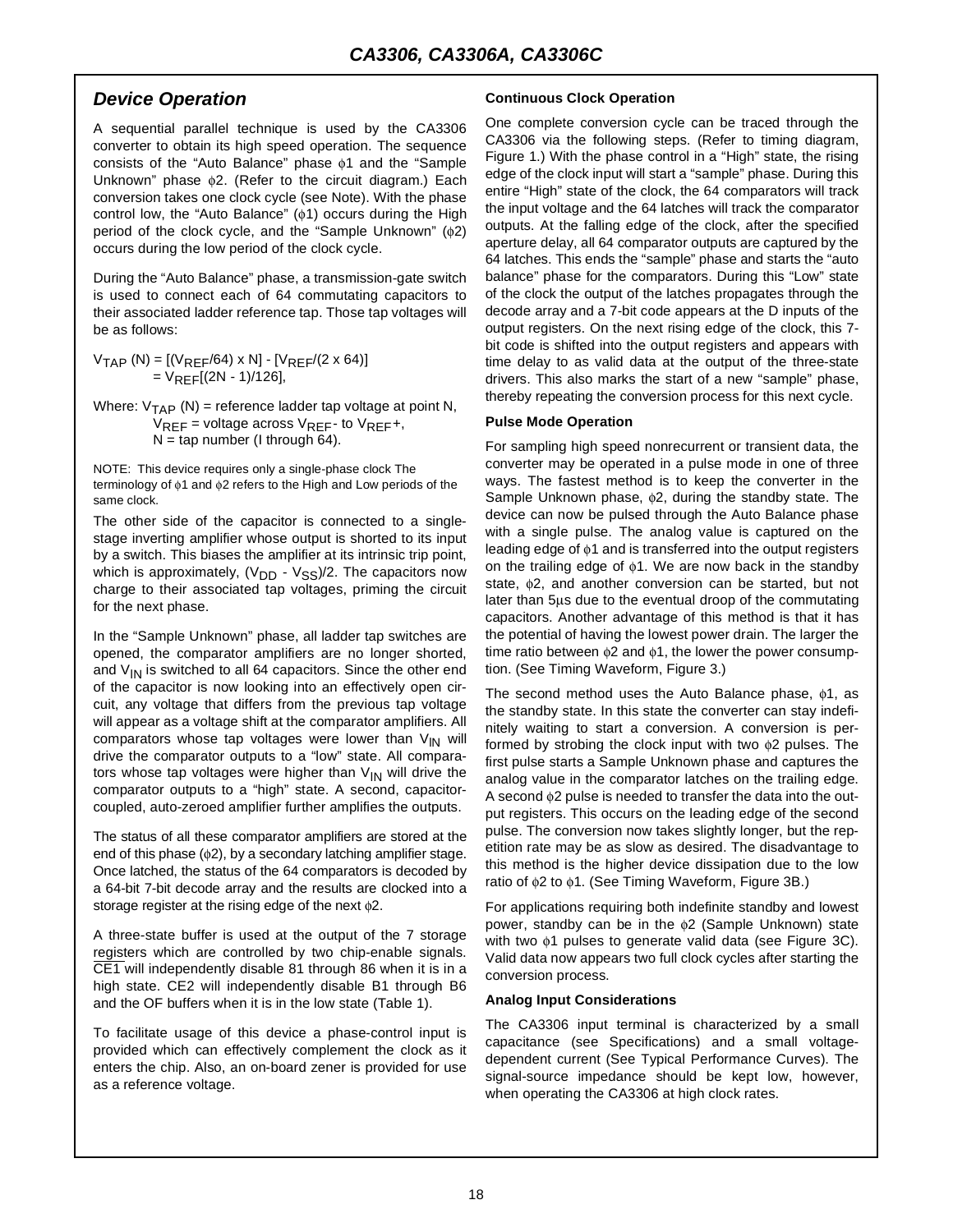#### *Device Operation*

A sequential parallel technique is used by the CA3306 converter to obtain its high speed operation. The sequence consists of the "Auto Balance" phase φ1 and the "Sample Unknown" phase φ2. (Refer to the circuit diagram.) Each conversion takes one clock cycle (see Note). With the phase control low, the "Auto Balance" (φ1) occurs during the High period of the clock cycle, and the "Sample Unknown" (φ2) occurs during the low period of the clock cycle.

During the "Auto Balance" phase, a transmission-gate switch is used to connect each of 64 commutating capacitors to their associated ladder reference tap. Those tap voltages will be as follows:

 $V_{TAP}$  (N) = [(V<sub>REF</sub>/64) x N] - [V<sub>REF</sub>/(2 x 64)]  $= V_{RFF}[(2N - 1)/126]$ 

Where:  $V_{TAP}$  (N) = reference ladder tap voltage at point N,  $V_{RFF}$  = voltage across  $V_{RFF}$ - to  $V_{RFF}$ +,  $N =$  tap number (I through 64).

NOTE: This device requires only a single-phase clock The terminology of φ1 and φ2 refers to the High and Low periods of the same clock.

The other side of the capacitor is connected to a singlestage inverting amplifier whose output is shorted to its input by a switch. This biases the amplifier at its intrinsic trip point, which is approximately,  $(V_{DD} - V_{SS})/2$ . The capacitors now charge to their associated tap voltages, priming the circuit for the next phase.

In the "Sample Unknown" phase, all ladder tap switches are opened, the comparator amplifiers are no longer shorted, and  $V_{IN}$  is switched to all 64 capacitors. Since the other end of the capacitor is now looking into an effectively open circuit, any voltage that differs from the previous tap voltage will appear as a voltage shift at the comparator amplifiers. All comparators whose tap voltages were lower than  $V_{\text{IN}}$  will drive the comparator outputs to a "low" state. All comparators whose tap voltages were higher than  $V_{IN}$  will drive the comparator outputs to a "high" state. A second, capacitorcoupled, auto-zeroed amplifier further amplifies the outputs.

The status of all these comparator amplifiers are stored at the end of this phase (φ2), by a secondary latching amplifier stage. Once latched, the status of the 64 comparators is decoded by a 64-bit 7-bit decode array and the results are clocked into a storage register at the rising edge of the next φ2.

A three-state buffer is used at the output of the 7 storage registers which are controlled by two chip-enable signals. CE1 will independently disable 81 through 86 when it is in a high state. CE2 will independently disable B1 through B6 and the OF buffers when it is in the low state (Table 1).

To facilitate usage of this device a phase-control input is provided which can effectively complement the clock as it enters the chip. Also, an on-board zener is provided for use as a reference voltage.

#### **Continuous Clock Operation**

One complete conversion cycle can be traced through the CA3306 via the following steps. (Refer to timing diagram, Figure 1.) With the phase control in a "High" state, the rising edge of the clock input will start a "sample" phase. During this entire "High" state of the clock, the 64 comparators will track the input voltage and the 64 latches will track the comparator outputs. At the falling edge of the clock, after the specified aperture delay, all 64 comparator outputs are captured by the 64 latches. This ends the "sample" phase and starts the "auto balance" phase for the comparators. During this "Low" state of the clock the output of the latches propagates through the decode array and a 7-bit code appears at the D inputs of the output registers. On the next rising edge of the clock, this 7 bit code is shifted into the output registers and appears with time delay to as valid data at the output of the three-state drivers. This also marks the start of a new "sample" phase, thereby repeating the conversion process for this next cycle.

#### **Pulse Mode Operation**

For sampling high speed nonrecurrent or transient data, the converter may be operated in a pulse mode in one of three ways. The fastest method is to keep the converter in the Sample Unknown phase, φ2, during the standby state. The device can now be pulsed through the Auto Balance phase with a single pulse. The analog value is captured on the leading edge of φ1 and is transferred into the output registers on the trailing edge of φ1. We are now back in the standby state, φ2, and another conversion can be started, but not later than 5µs due to the eventual droop of the commutating capacitors. Another advantage of this method is that it has the potential of having the lowest power drain. The larger the time ratio between φ2 and φ1, the lower the power consumption. (See Timing Waveform, Figure 3.)

The second method uses the Auto Balance phase, φ1, as the standby state. In this state the converter can stay indefinitely waiting to start a conversion. A conversion is performed by strobing the clock input with two φ2 pulses. The first pulse starts a Sample Unknown phase and captures the analog value in the comparator latches on the trailing edge. A second φ2 pulse is needed to transfer the data into the output registers. This occurs on the leading edge of the second pulse. The conversion now takes slightly longer, but the repetition rate may be as slow as desired. The disadvantage to this method is the higher device dissipation due to the low ratio of φ2 to φ1. (See Timing Waveform, Figure 3B.)

For applications requiring both indefinite standby and lowest power, standby can be in the φ2 (Sample Unknown) state with two φ1 pulses to generate valid data (see Figure 3C). Valid data now appears two full clock cycles after starting the conversion process.

#### **Analog Input Considerations**

The CA3306 input terminal is characterized by a small capacitance (see Specifications) and a small voltagedependent current (See Typical Performance Curves). The signal-source impedance should be kept low, however, when operating the CA3306 at high clock rates.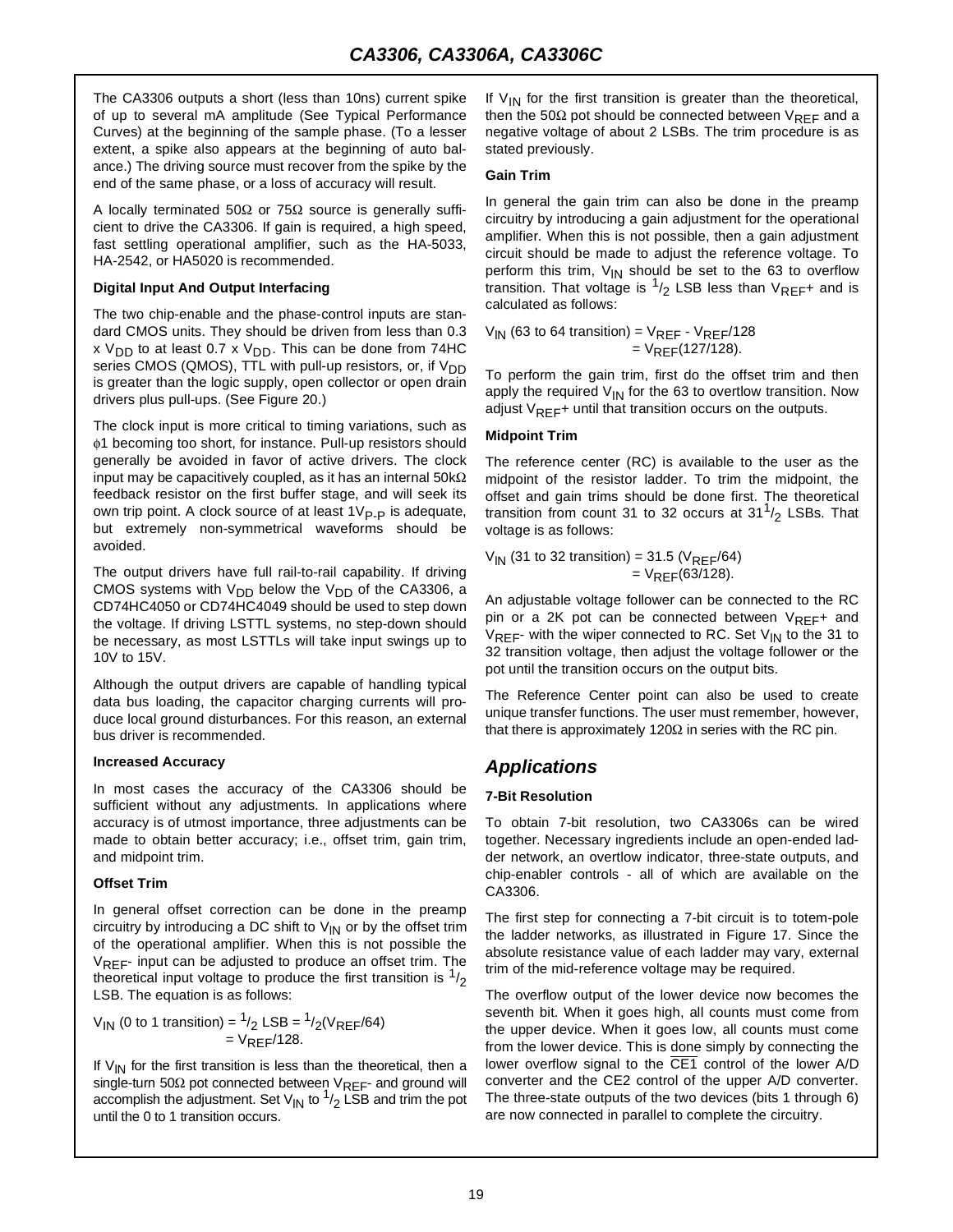The CA3306 outputs a short (less than 10ns) current spike of up to several mA amplitude (See Typical Performance Curves) at the beginning of the sample phase. (To a lesser extent, a spike also appears at the beginning of auto balance.) The driving source must recover from the spike by the end of the same phase, or a loss of accuracy will result.

A locally terminated 50 $\Omega$  or 75 $\Omega$  source is generally sufficient to drive the CA3306. If gain is required, a high speed, fast settling operational amplifier, such as the HA-5033, HA-2542, or HA5020 is recommended.

#### **Digital Input And Output Interfacing**

The two chip-enable and the phase-control inputs are standard CMOS units. They should be driven from less than 0.3 x  $V_{DD}$  to at least 0.7 x  $V_{DD}$ . This can be done from 74HC series CMOS (QMOS), TTL with pull-up resistors, or, if V<sub>DD</sub> is greater than the logic supply, open collector or open drain drivers plus pull-ups. (See Figure 20.)

The clock input is more critical to timing variations, such as φ1 becoming too short, for instance. Pull-up resistors should generally be avoided in favor of active drivers. The clock input may be capacitively coupled, as it has an internal  $50k\Omega$ feedback resistor on the first buffer stage, and will seek its own trip point. A clock source of at least  $1V_{P-P}$  is adequate, but extremely non-symmetrical waveforms should be avoided.

The output drivers have full rail-to-rail capability. If driving CMOS systems with  $V_{DD}$  below the  $V_{DD}$  of the CA3306, a CD74HC4050 or CD74HC4049 should be used to step down the voltage. If driving LSTTL systems, no step-down should be necessary, as most LSTTLs will take input swings up to 10V to 15V.

Although the output drivers are capable of handling typical data bus loading, the capacitor charging currents will produce local ground disturbances. For this reason, an external bus driver is recommended.

#### **Increased Accuracy**

In most cases the accuracy of the CA3306 should be sufficient without any adjustments. In applications where accuracy is of utmost importance, three adjustments can be made to obtain better accuracy; i.e., offset trim, gain trim, and midpoint trim.

#### **Offset Trim**

In general offset correction can be done in the preamp circuitry by introducing a DC shift to  $V_{\text{IN}}$  or by the offset trim of the operational amplifier. When this is not possible the  $V_{RFF}$ - input can be adjusted to produce an offset trim. The theoretical input voltage to produce the first transition is  $\frac{1}{2}$ LSB. The equation is as follows:

$$
V_{IN}
$$
 (0 to 1 transition) =  $^{1}_{/2}$  LSB =  $^{1}_{/2}$ ( $V_{REF}/64$ )  
=  $V_{REF}/128$ .

If  $V_{1N}$  for the first transition is less than the theoretical, then a single-turn 50 $\Omega$  pot connected between  $V_{REF}$ - and ground will accomplish the adjustment. Set  $V_{IN}$  to  $1/2$  LSB and trim the pot until the 0 to 1 transition occurs.

If  $V_{IN}$  for the first transition is greater than the theoretical, then the 50 $\Omega$  pot should be connected between  $V_{\text{REF}}$  and a negative voltage of about 2 LSBs. The trim procedure is as stated previously.

#### **Gain Trim**

In general the gain trim can also be done in the preamp circuitry by introducing a gain adjustment for the operational amplifier. When this is not possible, then a gain adjustment circuit should be made to adjust the reference voltage. To perform this trim,  $V_{IN}$  should be set to the 63 to overflow transition. That voltage is  $1/2$  LSB less than  $V_{REF}$ + and is calculated as follows:

 $V_{\textsf{IN}}$  (63 to 64 transition) =  $V_{\textsf{REF}}$  -  $V_{\textsf{REF}}$ /128  $= V_{REF}(127/128).$ 

To perform the gain trim, first do the offset trim and then apply the required  $V_{IN}$  for the 63 to overtlow transition. Now adjust  $V_{REF}$ + until that transition occurs on the outputs.

#### **Midpoint Trim**

The reference center (RC) is available to the user as the midpoint of the resistor ladder. To trim the midpoint, the offset and gain trims should be done first. The theoretical transition from count 31 to 32 occurs at  $31<sup>1</sup>/2$  LSBs. That voltage is as follows:

 $V_{\text{IN}}$  (31 to 32 transition) = 31.5 ( $V_{\text{REF}}$ /64)  $= V_{RFF}(63/128)$ .

An adjustable voltage follower can be connected to the RC pin or a 2K pot can be connected between  $V_{RFF}$ + and  $V_{REF}$ - with the wiper connected to RC. Set  $V_{IN}$  to the 31 to 32 transition voltage, then adjust the voltage follower or the pot until the transition occurs on the output bits.

The Reference Center point can also be used to create unique transfer functions. The user must remember, however, that there is approximately 120 $\Omega$  in series with the RC pin.

# *Applications*

#### **7-Bit Resolution**

To obtain 7-bit resolution, two CA3306s can be wired together. Necessary ingredients include an open-ended ladder network, an overtlow indicator, three-state outputs, and chip-enabler controls - all of which are available on the CA3306.

The first step for connecting a 7-bit circuit is to totem-pole the ladder networks, as illustrated in Figure 17. Since the absolute resistance value of each ladder may vary, external trim of the mid-reference voltage may be required.

The overflow output of the lower device now becomes the seventh bit. When it goes high, all counts must come from the upper device. When it goes low, all counts must come from the lower device. This is done simply by connecting the lower overflow signal to the CE1 control of the lower A/D converter and the CE2 control of the upper A/D converter. The three-state outputs of the two devices (bits 1 through 6) are now connected in parallel to complete the circuitry.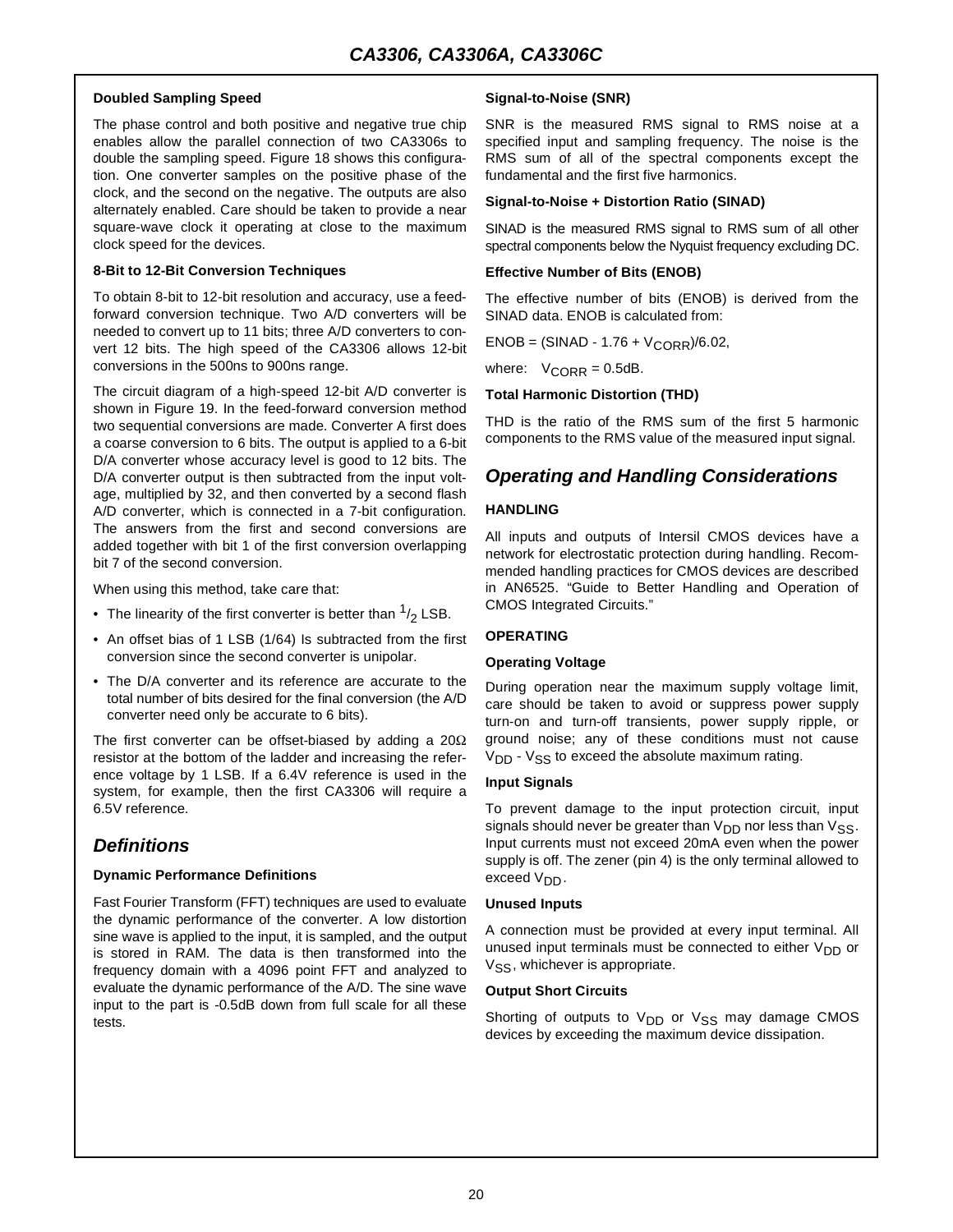#### **Doubled Sampling Speed**

The phase control and both positive and negative true chip enables allow the parallel connection of two CA3306s to double the sampling speed. Figure 18 shows this configuration. One converter samples on the positive phase of the clock, and the second on the negative. The outputs are also alternately enabled. Care should be taken to provide a near square-wave clock it operating at close to the maximum clock speed for the devices.

#### **8-Bit to 12-Bit Conversion Techniques**

To obtain 8-bit to 12-bit resolution and accuracy, use a feedforward conversion technique. Two A/D converters will be needed to convert up to 11 bits; three A/D converters to convert 12 bits. The high speed of the CA3306 allows 12-bit conversions in the 500ns to 900ns range.

The circuit diagram of a high-speed 12-bit A/D converter is shown in Figure 19. In the feed-forward conversion method two sequential conversions are made. Converter A first does a coarse conversion to 6 bits. The output is applied to a 6-bit D/A converter whose accuracy level is good to 12 bits. The D/A converter output is then subtracted from the input voltage, multiplied by 32, and then converted by a second flash A/D converter, which is connected in a 7-bit configuration. The answers from the first and second conversions are added together with bit 1 of the first conversion overlapping bit 7 of the second conversion.

When using this method, take care that:

- The linearity of the first converter is better than  $\frac{1}{2}$  LSB.
- An offset bias of 1 LSB (1/64) Is subtracted from the first conversion since the second converter is unipolar.
- The D/A converter and its reference are accurate to the total number of bits desired for the final conversion (the A/D converter need only be accurate to 6 bits).

The first converter can be offset-biased by adding a 20Ω resistor at the bottom of the ladder and increasing the reference voltage by 1 LSB. If a 6.4V reference is used in the system, for example, then the first CA3306 will require a 6.5V reference.

# *Definitions*

#### **Dynamic Performance Definitions**

Fast Fourier Transform (FFT) techniques are used to evaluate the dynamic performance of the converter. A low distortion sine wave is applied to the input, it is sampled, and the output is stored in RAM. The data is then transformed into the frequency domain with a 4096 point FFT and analyzed to evaluate the dynamic performance of the A/D. The sine wave input to the part is -0.5dB down from full scale for all these tests.

#### **Signal-to-Noise (SNR)**

SNR is the measured RMS signal to RMS noise at a specified input and sampling frequency. The noise is the RMS sum of all of the spectral components except the fundamental and the first five harmonics.

#### **Signal-to-Noise + Distortion Ratio (SINAD)**

SINAD is the measured RMS signal to RMS sum of all other spectral components below the Nyquist frequency excluding DC.

#### **Effective Number of Bits (ENOB)**

The effective number of bits (ENOB) is derived from the SINAD data. ENOB is calculated from:

 $ENOB = (SINAD - 1.76 + V_{CORR})/6.02$ 

where:  $V_{CORR} = 0.5dB$ .

#### **Total Harmonic Distortion (THD)**

THD is the ratio of the RMS sum of the first 5 harmonic components to the RMS value of the measured input signal.

## *Operating and Handling Considerations*

#### **HANDLING**

All inputs and outputs of Intersil CMOS devices have a network for electrostatic protection during handling. Recommended handling practices for CMOS devices are described in AN6525. "Guide to Better Handling and Operation of CMOS Integrated Circuits."

#### **OPERATING**

#### **Operating Voltage**

During operation near the maximum supply voltage limit, care should be taken to avoid or suppress power supply turn-on and turn-off transients, power supply ripple, or ground noise; any of these conditions must not cause  $V<sub>DD</sub>$  -  $V<sub>SS</sub>$  to exceed the absolute maximum rating.

#### **Input Signals**

To prevent damage to the input protection circuit, input signals should never be greater than  $V_{DD}$  nor less than  $V_{SS}$ . Input currents must not exceed 20mA even when the power supply is off. The zener (pin 4) is the only terminal allowed to exceed V<sub>DD</sub>.

#### **Unused Inputs**

A connection must be provided at every input terminal. All unused input terminals must be connected to either  $V_{DD}$  or V<sub>SS</sub>, whichever is appropriate.

#### **Output Short Circuits**

Shorting of outputs to  $V_{DD}$  or  $V_{SS}$  may damage CMOS devices by exceeding the maximum device dissipation.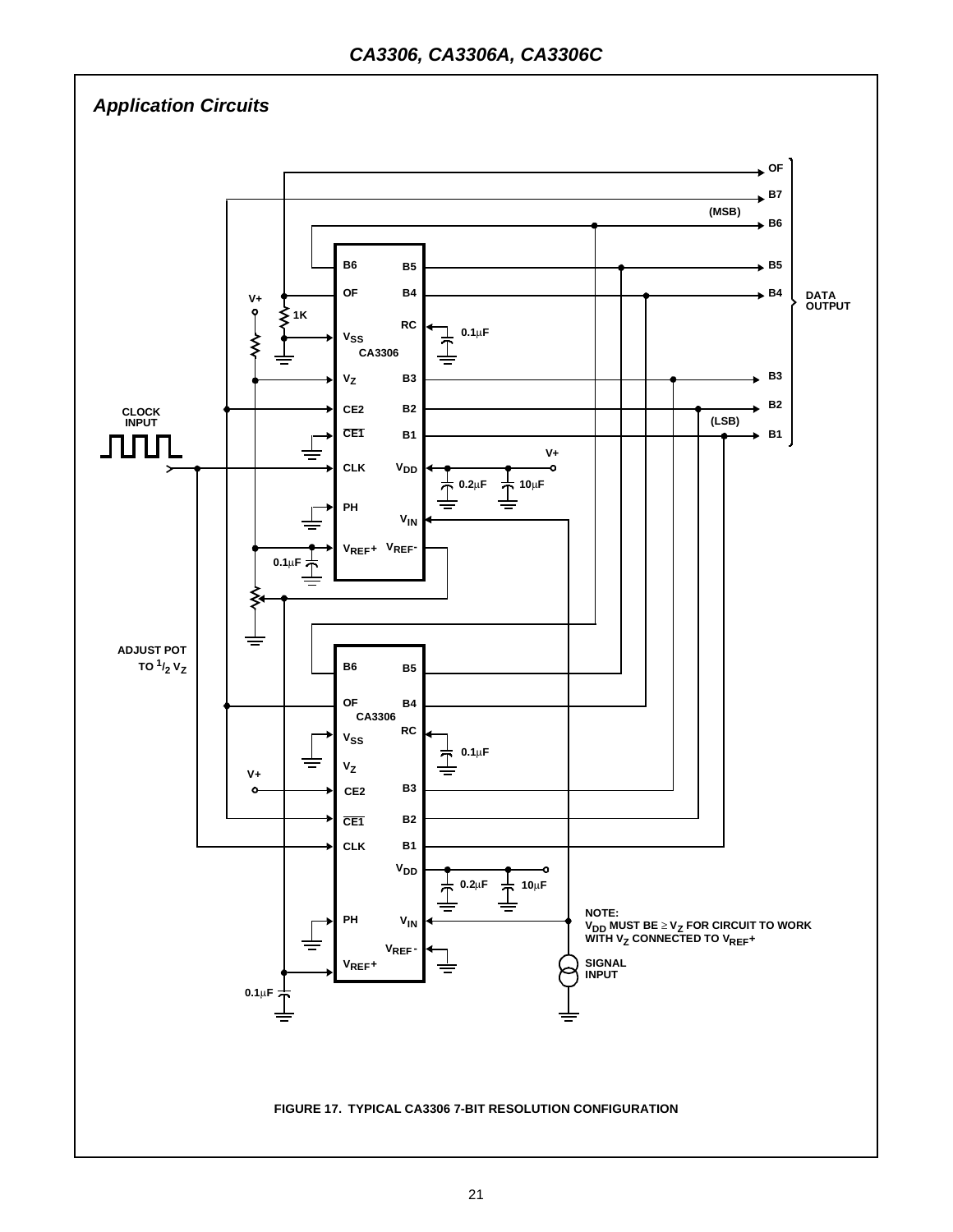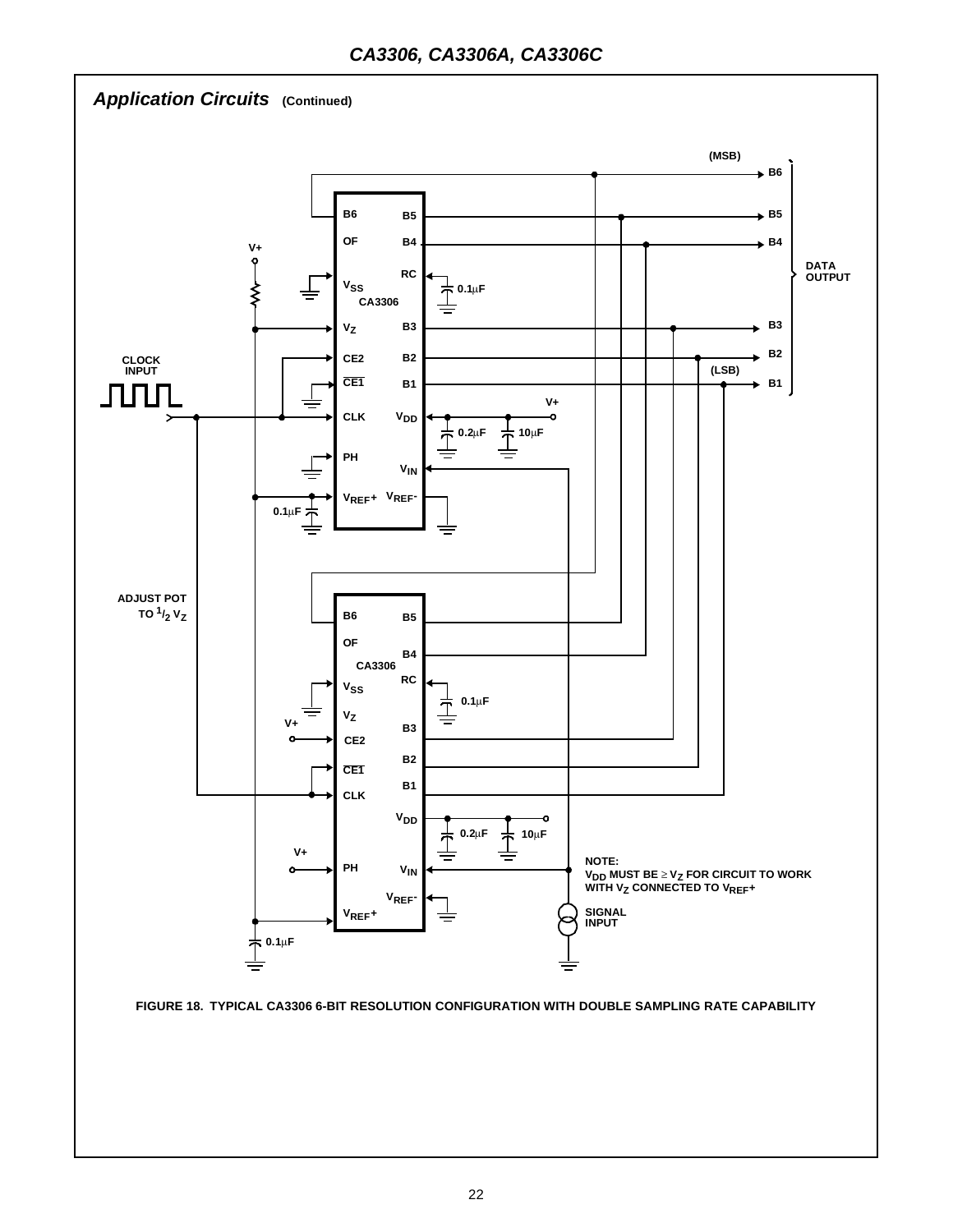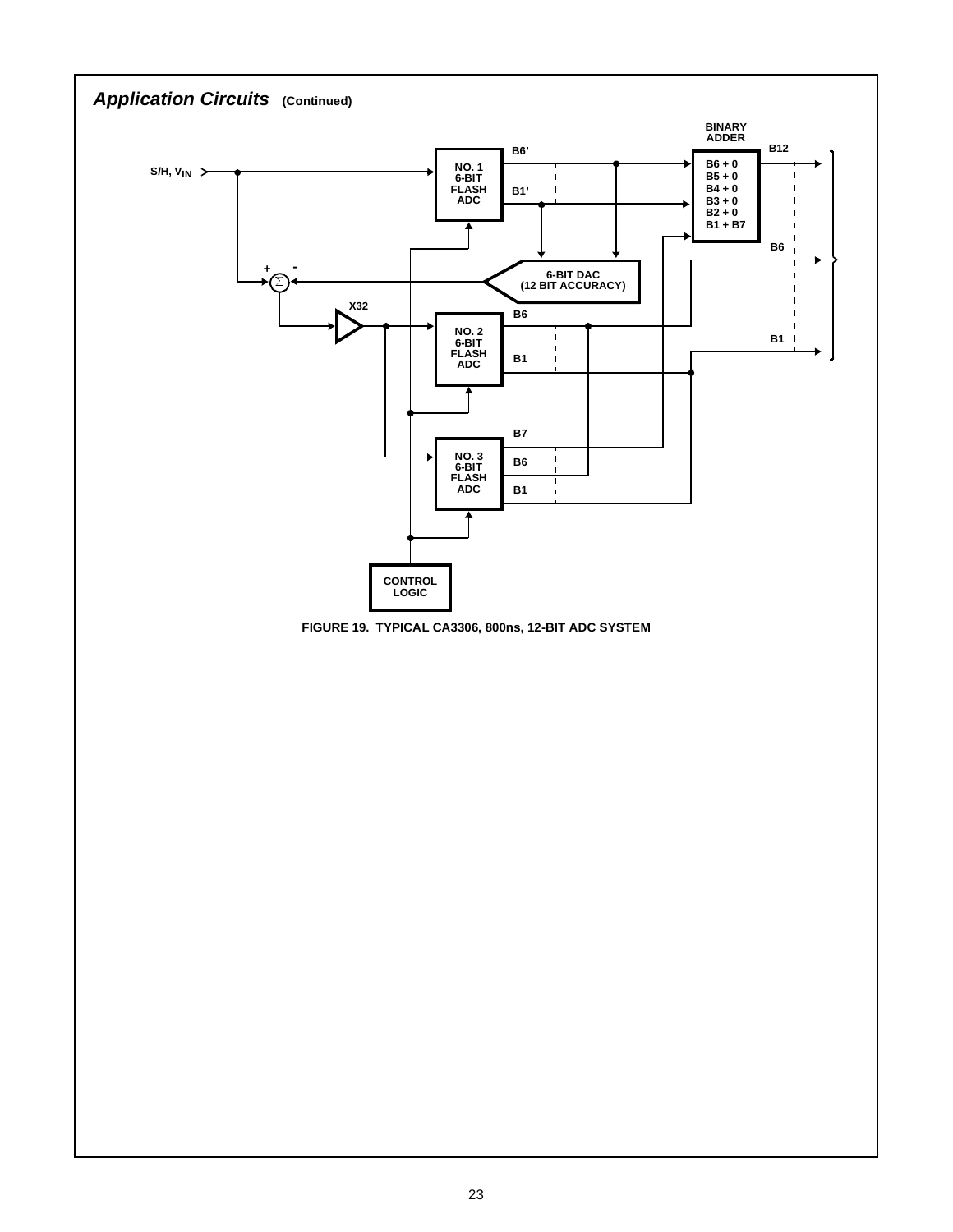

**FIGURE 19. TYPICAL CA3306, 800ns, 12-BIT ADC SYSTEM**